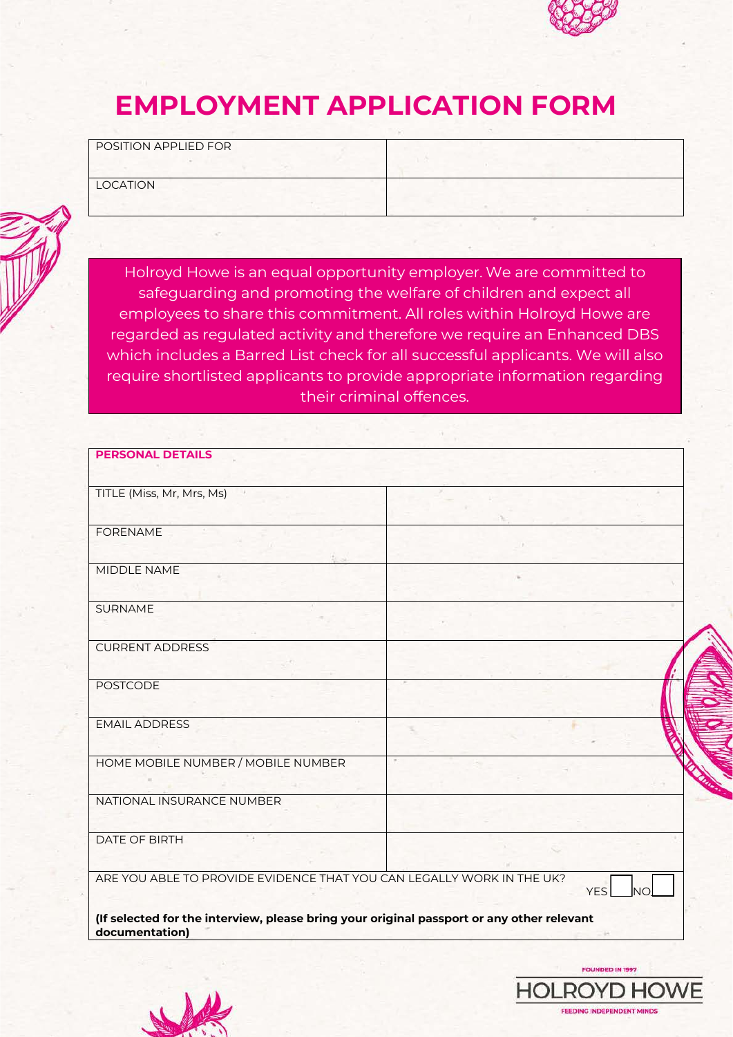

# **EMPLOYMENT APPLICATION FORM**

POSITION APPLIED FOR

LOCATION



Holroyd Howe is an equal opportunity employer. We are committed to safeguarding and promoting the welfare of children and expect all employees to share this commitment. All roles within Holroyd Howe are regarded as regulated activity and therefore we require an Enhanced DBS which includes a Barred List check for all successful applicants. We will also require shortlisted applicants to provide appropriate information regarding their criminal offences.

| TITLE (Miss, Mr, Mrs, Ms)                                             |            |
|-----------------------------------------------------------------------|------------|
|                                                                       |            |
| <b>FORENAME</b>                                                       |            |
|                                                                       |            |
| MIDDLE NAME                                                           |            |
|                                                                       |            |
| <b>SURNAME</b>                                                        |            |
|                                                                       |            |
| <b>CURRENT ADDRESS</b>                                                |            |
|                                                                       |            |
| <b>POSTCODE</b>                                                       |            |
|                                                                       |            |
| <b>EMAIL ADDRESS</b>                                                  |            |
|                                                                       |            |
| HOME MOBILE NUMBER / MOBILE NUMBER                                    |            |
|                                                                       |            |
| NATIONAL INSURANCE NUMBER                                             |            |
|                                                                       |            |
| <b>DATE OF BIRTH</b>                                                  |            |
|                                                                       |            |
| ARE YOU ABLE TO PROVIDE EVIDENCE THAT YOU CAN LEGALLY WORK IN THE UK? | <b>YES</b> |



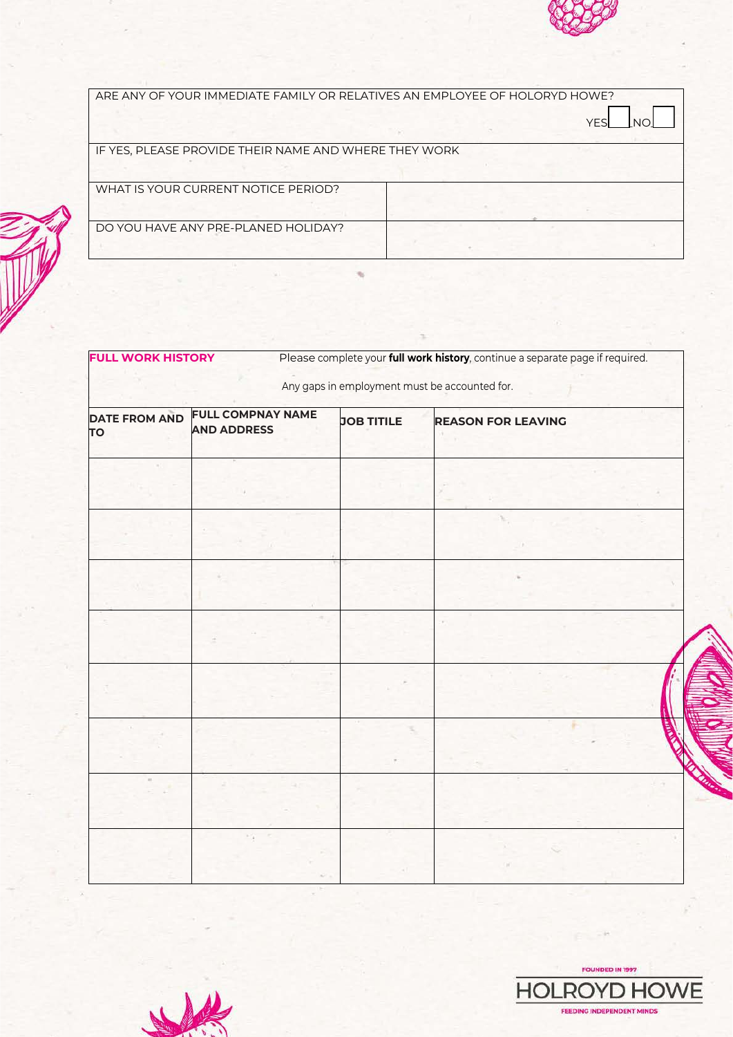

| ARE ANY OF YOUR IMMEDIATE FAMILY OR RELATIVES AN EMPLOYEE OF HOLORYD HOWE? |  |            |  |  |
|----------------------------------------------------------------------------|--|------------|--|--|
|                                                                            |  | <b>YFS</b> |  |  |
| IF YES, PLEASE PROVIDE THEIR NAME AND WHERE THEY WORK                      |  |            |  |  |
|                                                                            |  |            |  |  |
| WHAT IS YOUR CURRENT NOTICE PERIOD?                                        |  |            |  |  |
|                                                                            |  |            |  |  |
| DO YOU HAVE ANY PRE-PLANED HOLIDAY?                                        |  |            |  |  |
|                                                                            |  |            |  |  |

| Any gaps in employment must be accounted for. |                                                |                   |                           |
|-----------------------------------------------|------------------------------------------------|-------------------|---------------------------|
| <b>DATE FROM AND</b><br>TO                    | <b>FULL COMPNAY NAME</b><br><b>AND ADDRESS</b> | <b>JOB TITILE</b> | <b>REASON FOR LEAVING</b> |
|                                               |                                                |                   |                           |
|                                               |                                                |                   |                           |
|                                               |                                                |                   |                           |
|                                               |                                                |                   |                           |
|                                               |                                                |                   |                           |
|                                               |                                                |                   |                           |
|                                               |                                                |                   |                           |
|                                               |                                                |                   |                           |



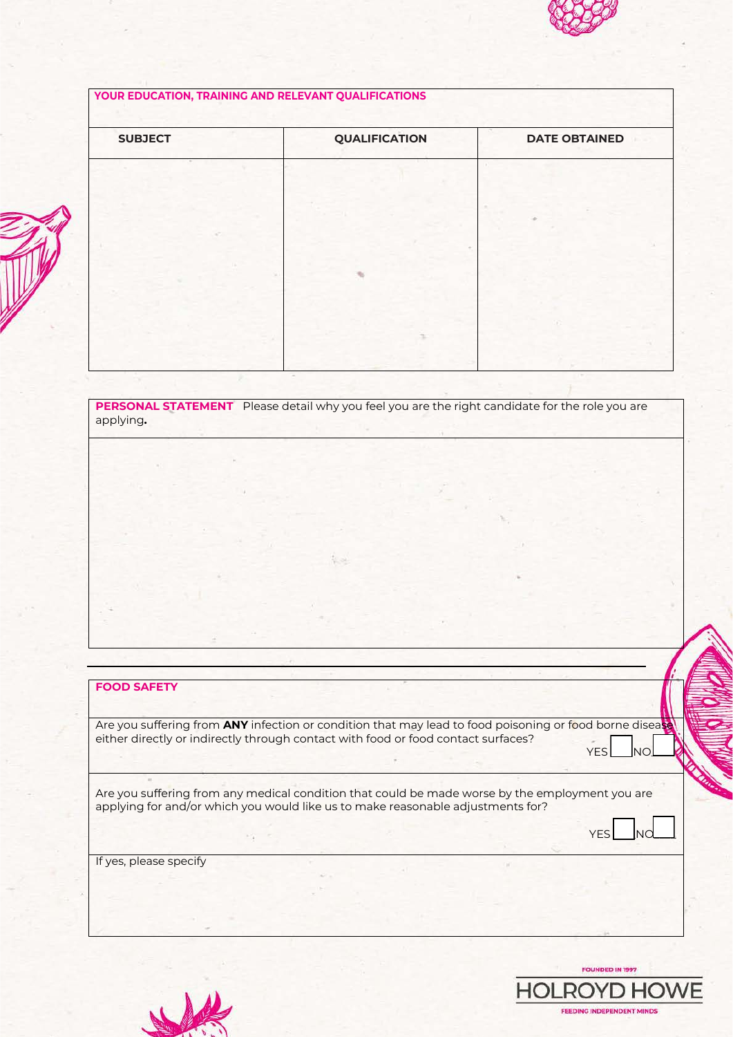

#### **YOUR EDUCATION, TRAINING AND RELEVANT QUALIFICATIONS**

| <b>SUBJECT</b> | <b>QUALIFICATION</b> | <b>DATE OBTAINED</b> |
|----------------|----------------------|----------------------|
| ×              |                      |                      |
|                |                      |                      |
|                |                      |                      |
|                |                      |                      |
|                |                      |                      |
|                |                      |                      |
|                |                      |                      |
|                |                      |                      |

**PERSONAL STATEMENT** Please detail why you feel you are the right candidate for the role you are applying**.**

# **FOOD SAFETY**

Are you suffering from **ANY** infection or condition that may lead to food poisoning or food borne disease either directly or indirectly through contact with food or food contact surfaces?  $YES$  and  $YES$  and  $YES$  and  $YES$  and  $YES$  and  $YES$  and  $YES$  and  $YES$  and  $YES$  and  $YES$  and  $YES$  and  $YES$  and  $YES$  and  $YES$  and  $YES$  and  $YES$  and  $YES$  and  $YES$  and  $YES$  and  $YES$  and  $YES$  and  $YES$  and  $YES$  and  $YES$  and  $YES$ 

Are you suffering from any medical condition that could be made worse by the employment you are applying for and/or which you would like us to make reasonable adjustments for?

 $YES \_\_N$ 

If yes, please specify



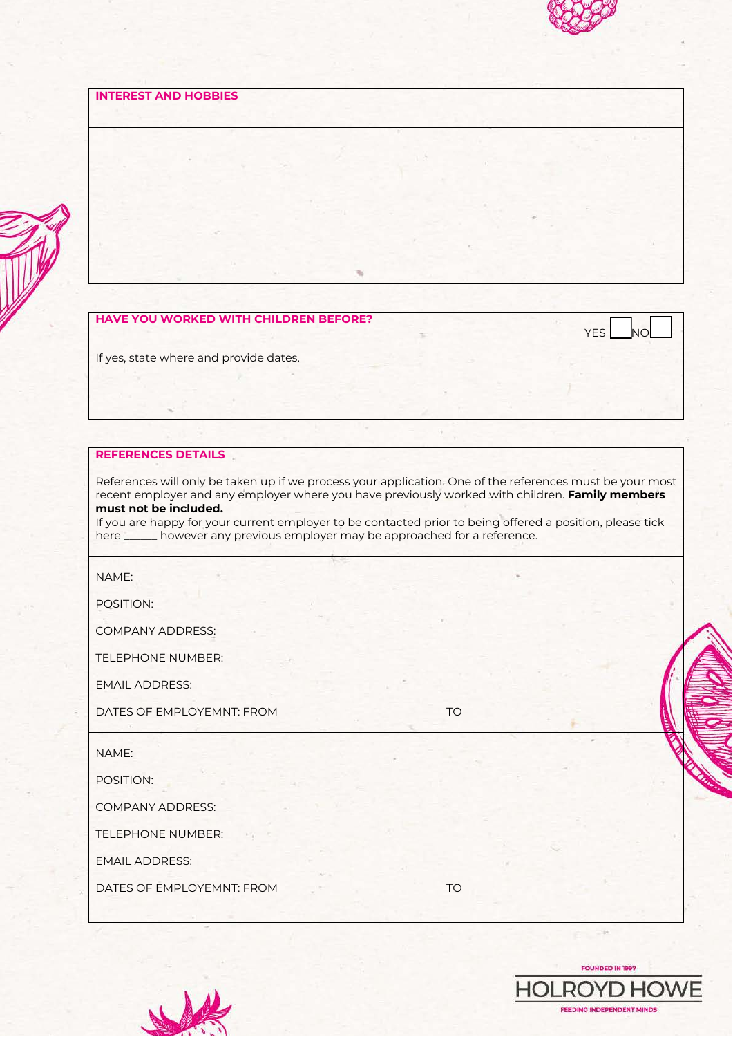

#### **INTEREST AND HOBBIES**

#### **HAVE YOU WORKED WITH CHILDREN BEFORE?**

YES NO

If yes, state where and provide dates.

#### **REFERENCES DETAILS**

References will only be taken up if we process your application. One of the references must be your most recent employer and any employer where you have previously worked with children. **Family members must not be included.**

If you are happy for your current employer to be contacted prior to being offered a position, please tick here \_\_\_\_\_\_ however any previous employer may be approached for a reference.

NAME:

POSITION:

COMPANY ADDRESS:

TELEPHONE NUMBER:

EMAIL ADDRESS:

DATES OF EMPLOYEMNT: FROM TO

NAME:

POSITION:

COMPANY ADDRESS:

TELEPHONE NUMBER:

EMAIL ADDRESS:

DATES OF EMPLOYEMNT: FROM TO TO



 $-14$ 

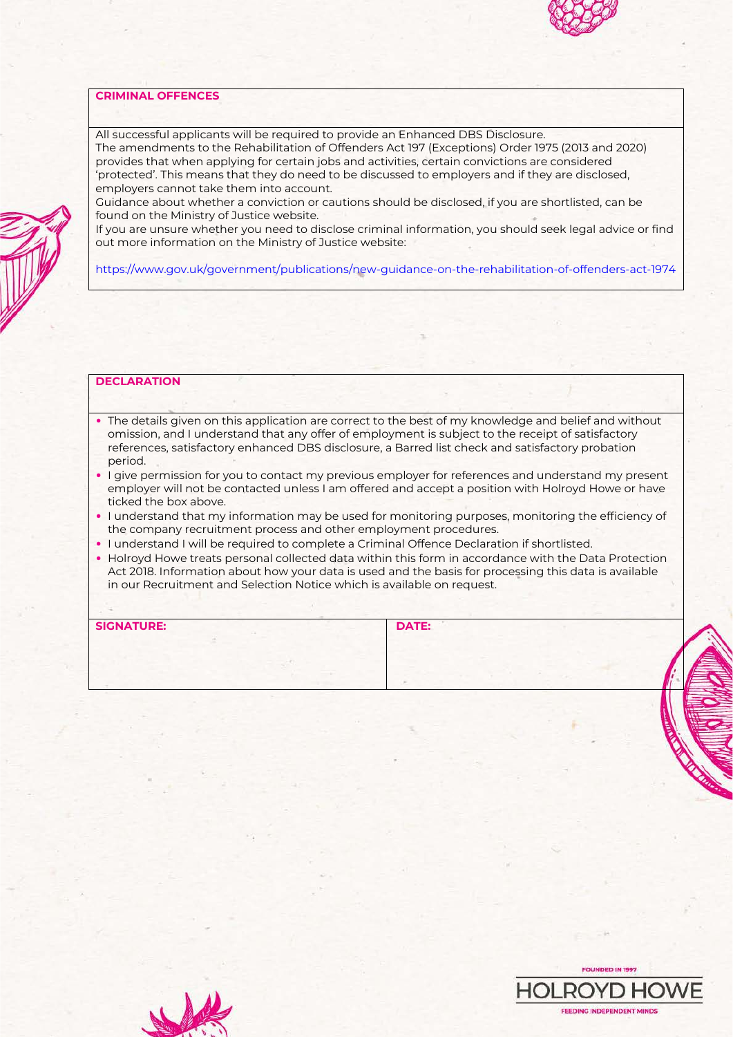#### **CRIMINAL OFFENCES**

All successful applicants will be required to provide an Enhanced DBS Disclosure.

The amendments to the Rehabilitation of Offenders Act 197 (Exceptions) Order 1975 (2013 and 2020) provides that when applying for certain jobs and activities, certain convictions are considered 'protected'. This means that they do need to be discussed to employers and if they are disclosed, employers cannot take them into account.

Guidance about whether a conviction or cautions should be disclosed, if you are shortlisted, can be found on the Ministry of Justice website.

If you are unsure whether you need to disclose criminal information, you should seek legal advice or find out more information on the Ministry of Justice website:

https://www.gov.uk/government/publications/new-guidance-on-the-rehabilitation-of-offenders-act-1974

#### **DECLARATION**

- The details given on this application are correct to the best of my knowledge and belief and without omission, and I understand that any offer of employment is subject to the receipt of satisfactory references, satisfactory enhanced DBS disclosure, a Barred list check and satisfactory probation period.
- I give permission for you to contact my previous employer for references and understand my present employer will not be contacted unless I am offered and accept a position with Holroyd Howe or have ticked the box above.
- I understand that my information may be used for monitoring purposes, monitoring the efficiency of the company recruitment process and other employment procedures.
- I understand I will be required to complete a Criminal Offence Declaration if shortlisted.
- Holroyd Howe treats personal collected data within this form in accordance with the Data Protection Act 2018. Information about how your data is used and the basis for processing this data is available in our Recruitment and Selection Notice which is available on request.

| <b>SIGNATURE:</b> | DATE: |  |
|-------------------|-------|--|
|                   |       |  |